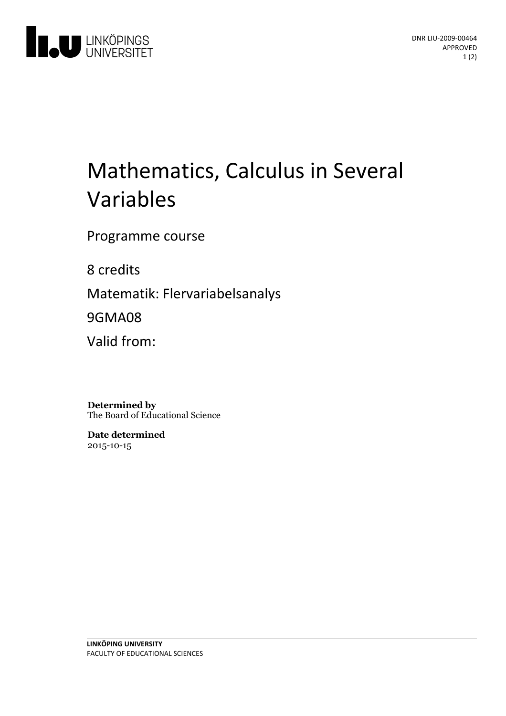

# Mathematics, Calculus in Several Variables

Programme course

8 credits

Matematik: Flervariabelsanalys

9GMA08

Valid from:

**Determined by** The Board of Educational Science

**Date determined** 2015-10-15